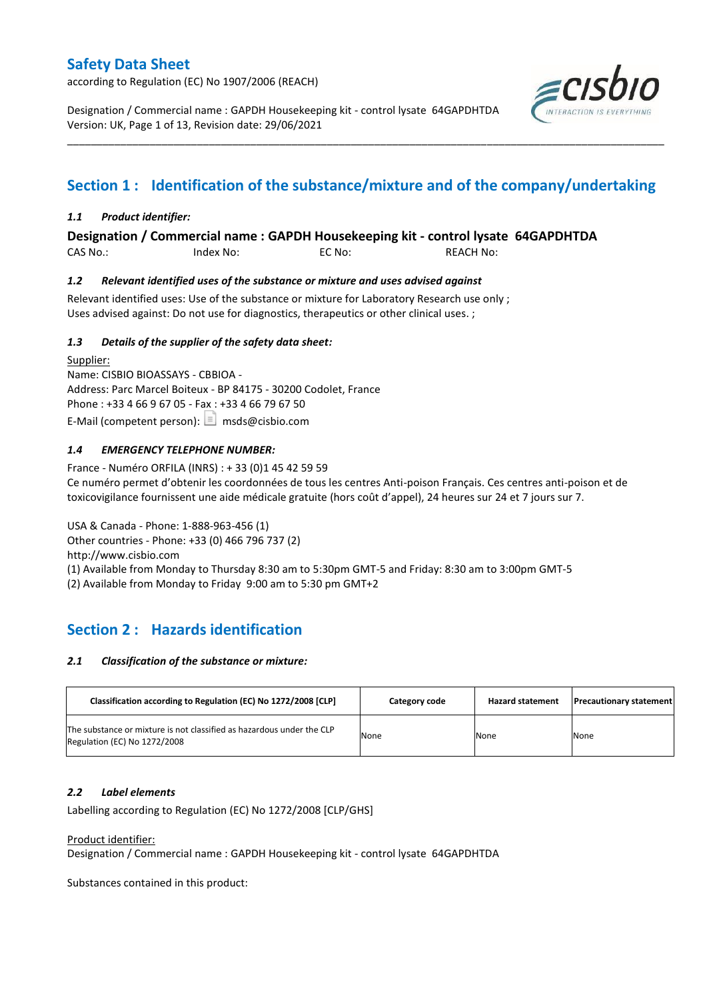according to Regulation (EC) No 1907/2006 (REACH)

Designation / Commercial name : GAPDH Housekeeping kit - control lysate 64GAPDHTDA Version: UK, Page 1 of 13, Revision date: 29/06/2021



# **Section 1 : Identification of the substance/mixture and of the company/undertaking**

\_\_\_\_\_\_\_\_\_\_\_\_\_\_\_\_\_\_\_\_\_\_\_\_\_\_\_\_\_\_\_\_\_\_\_\_\_\_\_\_\_\_\_\_\_\_\_\_\_\_\_\_\_\_\_\_\_\_\_\_\_\_\_\_\_\_\_\_\_\_\_\_\_\_\_\_\_\_\_\_\_\_\_\_\_\_\_\_\_\_\_\_\_\_\_\_\_\_\_\_\_

### *1.1 Product identifier:*

### **Designation / Commercial name : GAPDH Housekeeping kit - control lysate 64GAPDHTDA**

CAS No.: Index No: EC No: REACH No:

### *1.2 Relevant identified uses of the substance or mixture and uses advised against*

Relevant identified uses: Use of the substance or mixture for Laboratory Research use only ; Uses advised against: Do not use for diagnostics, therapeutics or other clinical uses. ;

### *1.3 Details of the supplier of the safety data sheet:*

Supplier: Name: CISBIO BIOASSAYS - CBBIOA - Address: Parc Marcel Boiteux - BP 84175 - 30200 Codolet, France Phone : +33 4 66 9 67 05 - Fax : +33 4 66 79 67 50 E-Mail (competent person):  $\boxed{\equiv}$  msds@cisbio.com

### *1.4 EMERGENCY TELEPHONE NUMBER:*

France - Numéro ORFILA (INRS) : + 33 (0)1 45 42 59 59 Ce numéro permet d'obtenir les coordonnées de tous les centres Anti-poison Français. Ces centres anti-poison et de toxicovigilance fournissent une aide médicale gratuite (hors coût d'appel), 24 heures sur 24 et 7 jours sur 7.

USA & Canada - Phone: 1-888-963-456 (1) Other countries - Phone: +33 (0) 466 796 737 (2) http://www.cisbio.com (1) Available from Monday to Thursday 8:30 am to 5:30pm GMT-5 and Friday: 8:30 am to 3:00pm GMT-5 (2) Available from Monday to Friday 9:00 am to 5:30 pm GMT+2

# **Section 2 : Hazards identification**

#### *2.1 Classification of the substance or mixture:*

| Classification according to Regulation (EC) No 1272/2008 [CLP]                                        | Category code | <b>Hazard statement</b> | <b>Precautionary statement</b> |
|-------------------------------------------------------------------------------------------------------|---------------|-------------------------|--------------------------------|
| The substance or mixture is not classified as hazardous under the CLP<br>Regulation (EC) No 1272/2008 | None          | None                    | None                           |

#### *2.2 Label elements*

Labelling according to Regulation (EC) No 1272/2008 [CLP/GHS]

#### Product identifier:

Designation / Commercial name : GAPDH Housekeeping kit - control lysate 64GAPDHTDA

Substances contained in this product: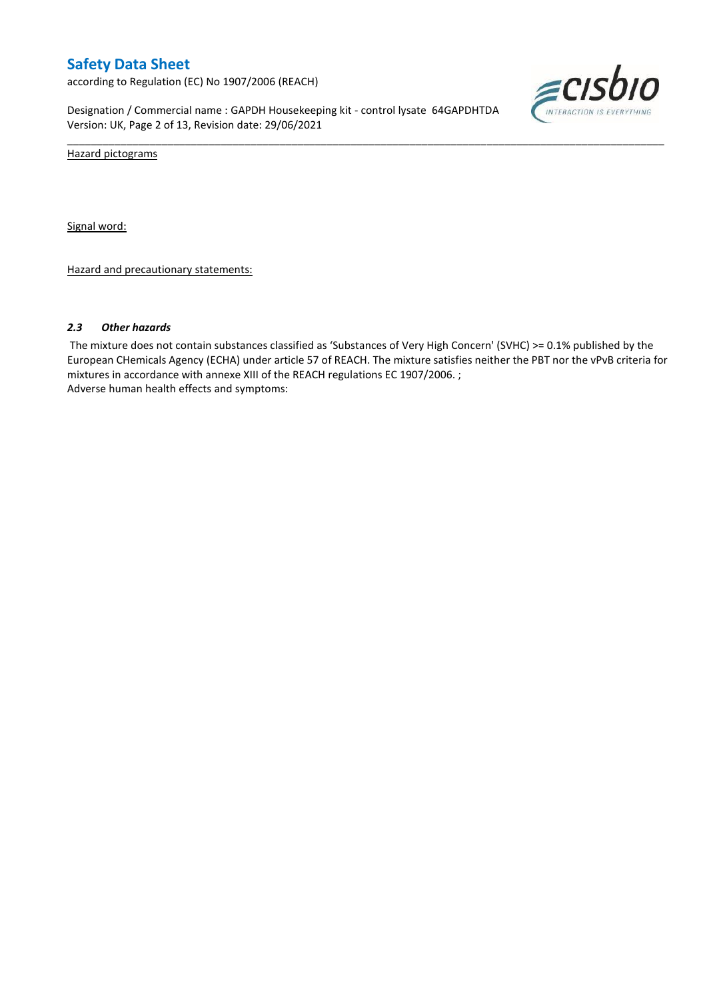according to Regulation (EC) No 1907/2006 (REACH)

Designation / Commercial name : GAPDH Housekeeping kit - control lysate 64GAPDHTDA Version: UK, Page 2 of 13, Revision date: 29/06/2021



Hazard pictograms

Signal word:

Hazard and precautionary statements:

#### *2.3 Other hazards*

The mixture does not contain substances classified as 'Substances of Very High Concern' (SVHC) >= 0.1% published by the European CHemicals Agency (ECHA) under article 57 of REACH. The mixture satisfies neither the PBT nor the vPvB criteria for mixtures in accordance with annexe XIII of the REACH regulations EC 1907/2006. ; Adverse human health effects and symptoms:

\_\_\_\_\_\_\_\_\_\_\_\_\_\_\_\_\_\_\_\_\_\_\_\_\_\_\_\_\_\_\_\_\_\_\_\_\_\_\_\_\_\_\_\_\_\_\_\_\_\_\_\_\_\_\_\_\_\_\_\_\_\_\_\_\_\_\_\_\_\_\_\_\_\_\_\_\_\_\_\_\_\_\_\_\_\_\_\_\_\_\_\_\_\_\_\_\_\_\_\_\_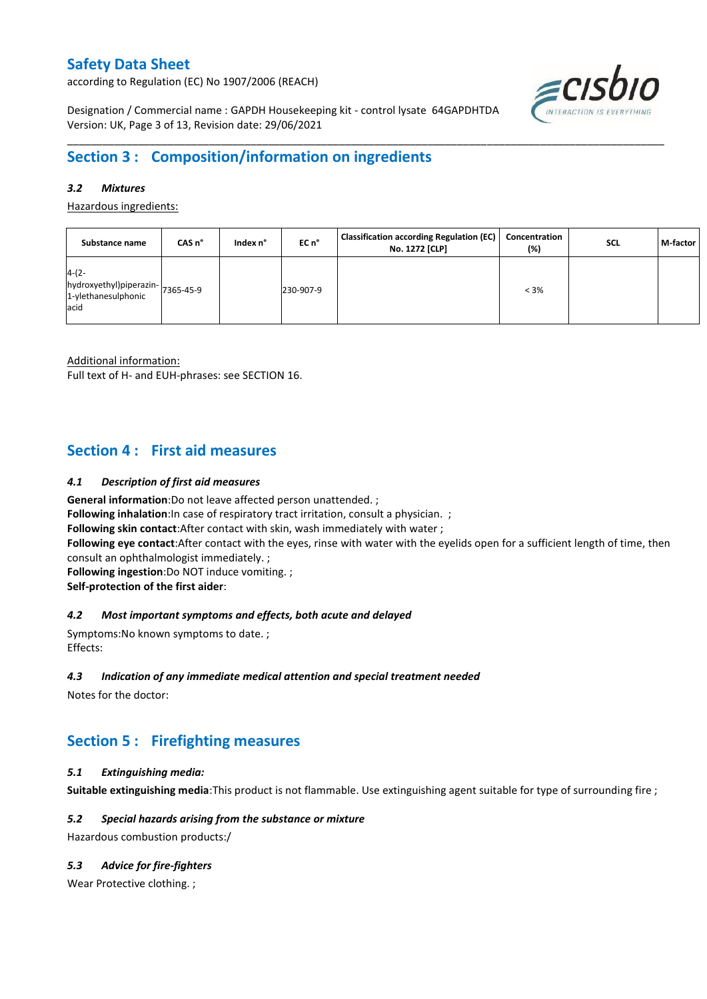according to Regulation (EC) No 1907/2006 (REACH)

≡cısbıo

Designation / Commercial name : GAPDH Housekeeping kit - control lysate 64GAPDHTDA Version: UK, Page 3 of 13, Revision date: 29/06/2021

# **Section 3 : Composition/information on ingredients**

### *3.2 Mixtures*

Hazardous ingredients:

| Substance name                                                               | CAS n° | Index n° | EC n°     | <b>Classification according Regulation (EC)</b><br>No. 1272 [CLP] | Concentration<br>(%) | <b>SCL</b> | M-factor |
|------------------------------------------------------------------------------|--------|----------|-----------|-------------------------------------------------------------------|----------------------|------------|----------|
| $4-(2-$<br>hydroxyethyl)piperazin- 7365-45-9<br>1-ylethanesulphonic<br>lacid |        |          | 230-907-9 |                                                                   | $< 3\%$              |            |          |

\_\_\_\_\_\_\_\_\_\_\_\_\_\_\_\_\_\_\_\_\_\_\_\_\_\_\_\_\_\_\_\_\_\_\_\_\_\_\_\_\_\_\_\_\_\_\_\_\_\_\_\_\_\_\_\_\_\_\_\_\_\_\_\_\_\_\_\_\_\_\_\_\_\_\_\_\_\_\_\_\_\_\_\_\_\_\_\_\_\_\_\_\_\_\_\_\_\_\_\_\_

Additional information:

Full text of H- and EUH-phrases: see SECTION 16.

### **Section 4 : First aid measures**

### *4.1 Description of first aid measures*

**General information**:Do not leave affected person unattended. ;

**Following inhalation:**In case of respiratory tract irritation, consult a physician. ;

**Following skin contact**:After contact with skin, wash immediately with water ;

**Following eye contact**:After contact with the eyes, rinse with water with the eyelids open for a sufficient length of time, then consult an ophthalmologist immediately. ;

**Following ingestion**:Do NOT induce vomiting. ;

**Self-protection of the first aider**:

#### *4.2 Most important symptoms and effects, both acute and delayed*

Symptoms:No known symptoms to date. ; Effects:

#### *4.3 Indication of any immediate medical attention and special treatment needed*

Notes for the doctor:

# **Section 5 : Firefighting measures**

#### *5.1 Extinguishing media:*

**Suitable extinguishing media**:This product is not flammable. Use extinguishing agent suitable for type of surrounding fire ;

#### *5.2 Special hazards arising from the substance or mixture*

Hazardous combustion products:/

### *5.3 Advice for fire-fighters*

Wear Protective clothing.;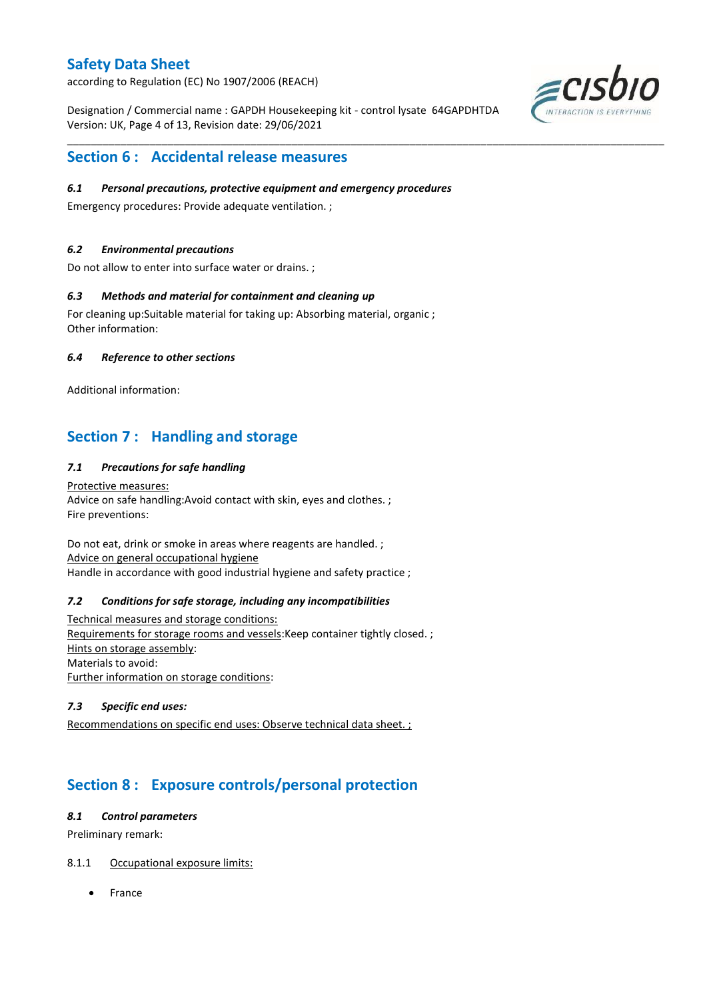according to Regulation (EC) No 1907/2006 (REACH)

Designation / Commercial name : GAPDH Housekeeping kit - control lysate 64GAPDHTDA Version: UK, Page 4 of 13, Revision date: 29/06/2021

\_\_\_\_\_\_\_\_\_\_\_\_\_\_\_\_\_\_\_\_\_\_\_\_\_\_\_\_\_\_\_\_\_\_\_\_\_\_\_\_\_\_\_\_\_\_\_\_\_\_\_\_\_\_\_\_\_\_\_\_\_\_\_\_\_\_\_\_\_\_\_\_\_\_\_\_\_\_\_\_\_\_\_\_\_\_\_\_\_\_\_\_\_\_\_\_\_\_\_\_\_



# **Section 6 : Accidental release measures**

### *6.1 Personal precautions, protective equipment and emergency procedures*

Emergency procedures: Provide adequate ventilation. ;

### *6.2 Environmental precautions*

Do not allow to enter into surface water or drains. ;

### *6.3 Methods and material for containment and cleaning up*

For cleaning up:Suitable material for taking up: Absorbing material, organic ; Other information:

### *6.4 Reference to other sections*

Additional information:

# **Section 7 : Handling and storage**

### *7.1 Precautions for safe handling*

Protective measures: Advice on safe handling:Avoid contact with skin, eyes and clothes. ; Fire preventions:

Do not eat, drink or smoke in areas where reagents are handled. ; Advice on general occupational hygiene Handle in accordance with good industrial hygiene and safety practice ;

#### *7.2 Conditions for safe storage, including any incompatibilities*

Technical measures and storage conditions: Requirements for storage rooms and vessels:Keep container tightly closed. ; Hints on storage assembly: Materials to avoid: Further information on storage conditions:

### *7.3 Specific end uses:*

Recommendations on specific end uses: Observe technical data sheet. ;

# **Section 8 : Exposure controls/personal protection**

#### *8.1 Control parameters*

Preliminary remark:

### 8.1.1 Occupational exposure limits:

France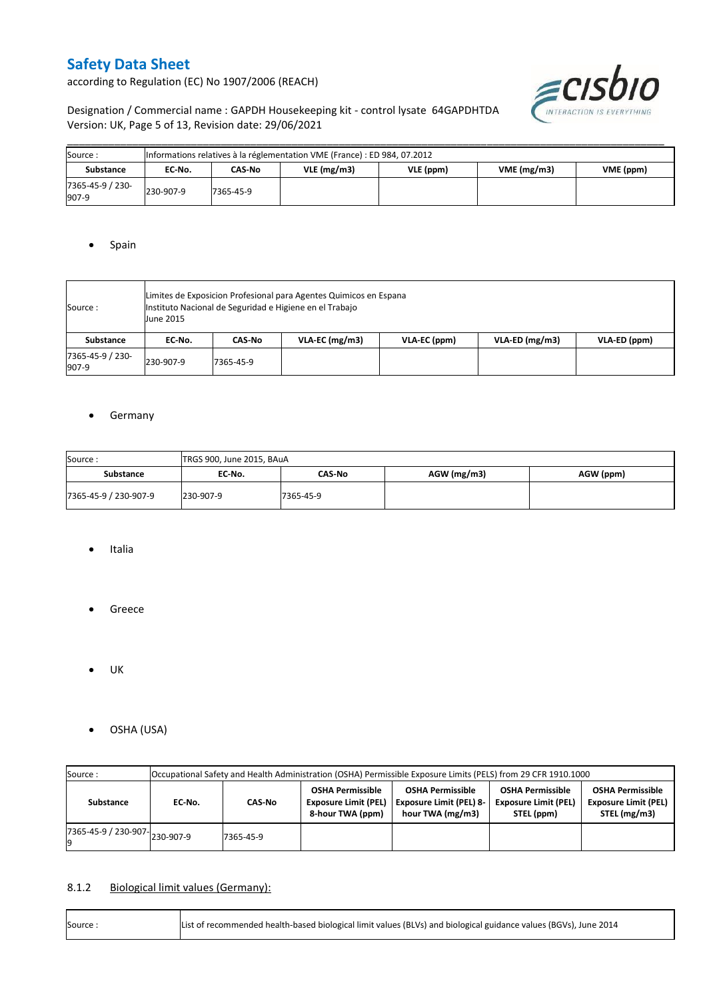according to Regulation (EC) No 1907/2006 (REACH)



Designation / Commercial name : GAPDH Housekeeping kit - control lysate 64GAPDHTDA Version: UK, Page 5 of 13, Revision date: 29/06/2021

| Source:                   |           | Informations relatives à la réglementation VME (France) : ED 984, 07.2012 |            |           |            |           |  |  |  |  |  |  |  |
|---------------------------|-----------|---------------------------------------------------------------------------|------------|-----------|------------|-----------|--|--|--|--|--|--|--|
| <b>Substance</b>          | EC No.    | CAS-No                                                                    | VLE(mg/m3) | VLE (ppm) | VME(mg/m3) | VME (ppm) |  |  |  |  |  |  |  |
| 7365-45-9 / 230-<br>907-9 | 230-907-9 | 7365-45-9                                                                 |            |           |            |           |  |  |  |  |  |  |  |

\_\_\_\_\_\_\_\_\_\_\_\_\_\_\_\_\_\_\_\_\_\_\_\_\_\_\_\_\_\_\_\_\_\_\_\_\_\_\_\_\_\_\_\_\_\_\_\_\_\_\_\_\_\_\_\_\_\_\_\_\_\_\_\_\_\_\_\_\_\_\_\_\_\_\_\_\_\_\_\_\_\_\_\_\_\_\_\_\_\_\_\_\_\_\_\_\_\_\_\_\_

### • Spain

| Source :                  | Limites de Exposicion Profesional para Agentes Quimicos en Espana<br>Instituto Nacional de Seguridad e Higiene en el Trabajo<br><b>June 2015</b> |           |                  |              |                |              |  |  |  |  |
|---------------------------|--------------------------------------------------------------------------------------------------------------------------------------------------|-----------|------------------|--------------|----------------|--------------|--|--|--|--|
| Substance                 | EC No.                                                                                                                                           | CAS-No    | $VLA-EC$ (mg/m3) | VLA-EC (ppm) | VLA-ED (mg/m3) | VLA-ED (ppm) |  |  |  |  |
| 7365-45-9 / 230-<br>907-9 | 230-907-9                                                                                                                                        | 7365-45-9 |                  |              |                |              |  |  |  |  |

### **•** Germany

| Source:               | TRGS 900, June 2015, BAuA |           |             |           |  |  |  |  |  |  |
|-----------------------|---------------------------|-----------|-------------|-----------|--|--|--|--|--|--|
| Substance             | EC No.                    | CAS-No    | AGW (mg/m3) | AGW (ppm) |  |  |  |  |  |  |
| 7365-45-9 / 230-907-9 | 230-907-9                 | 7365-45-9 |             |           |  |  |  |  |  |  |

- Italia
- Greece
- $\bullet$  UK
- OSHA (USA)

| Source:                                  | Occupational Safety and Health Administration (OSHA) Permissible Exposure Limits (PELS) from 29 CFR 1910.1000 |           |                                                                            |                                                                               |                                                                      |                                                                        |  |  |  |  |
|------------------------------------------|---------------------------------------------------------------------------------------------------------------|-----------|----------------------------------------------------------------------------|-------------------------------------------------------------------------------|----------------------------------------------------------------------|------------------------------------------------------------------------|--|--|--|--|
| Substance                                | CAS-No<br>EC-No.                                                                                              |           | <b>OSHA Permissible</b><br><b>Exposure Limit (PEL)</b><br>8-hour TWA (ppm) | <b>OSHA Permissible</b><br><b>Exposure Limit (PEL) 8-</b><br>hour TWA (mg/m3) | <b>OSHA Permissible</b><br><b>Exposure Limit (PEL)</b><br>STEL (ppm) | <b>OSHA Permissible</b><br><b>Exposure Limit (PEL)</b><br>STEL (mg/m3) |  |  |  |  |
| $17365 - 45 - 9$ / 230-907-<br>230-907-9 |                                                                                                               | 7365-45-9 |                                                                            |                                                                               |                                                                      |                                                                        |  |  |  |  |

### 8.1.2 Biological limit values (Germany):

| Source: | List of recommended health-based biological limit values (BLVs) and biological guidance values (BGVs), June 2014 |
|---------|------------------------------------------------------------------------------------------------------------------|
|---------|------------------------------------------------------------------------------------------------------------------|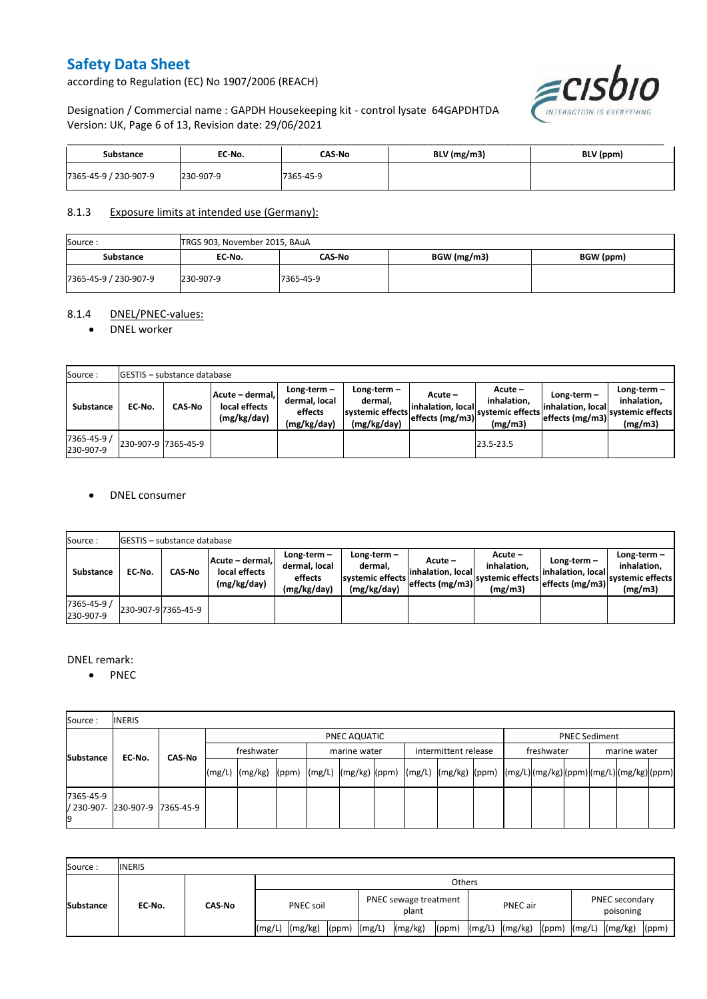according to Regulation (EC) No 1907/2006 (REACH)



Designation / Commercial name : GAPDH Housekeeping kit - control lysate 64GAPDHTDA Version: UK, Page 6 of 13, Revision date: 29/06/2021

| <b>Substance</b>      | EC No.    | CAS No    | BLV (mg/m3) | BLV (ppm) |
|-----------------------|-----------|-----------|-------------|-----------|
| 7365-45-9 / 230-907-9 | 230-907-9 | 7365-45-9 |             |           |

### 8.1.3 Exposure limits at intended use (Germany):

| Source:               | TRGS 903, November 2015, BAuA |           |             |           |  |  |  |  |  |  |
|-----------------------|-------------------------------|-----------|-------------|-----------|--|--|--|--|--|--|
| <b>Substance</b>      | EC No.                        | CAS-No    | BGW (mg/m3) | BGW (ppm) |  |  |  |  |  |  |
| 7365-45-9 / 230-907-9 | 230-907-9                     | 7365-45-9 |             |           |  |  |  |  |  |  |

#### 8.1.4 DNEL/PNEC-values:

#### • DNEL worker

| Source:                  |                     | GESTIS - substance database |                                                                                                          |  |                                                          |                                                  |                                                         |                                                        |                                                          |  |  |  |  |  |  |
|--------------------------|---------------------|-----------------------------|----------------------------------------------------------------------------------------------------------|--|----------------------------------------------------------|--------------------------------------------------|---------------------------------------------------------|--------------------------------------------------------|----------------------------------------------------------|--|--|--|--|--|--|
| Substance                | EC-No.              | <b>CAS-No</b>               | Long-term-<br>Acute - dermal,<br>dermal, local<br>local effects<br>effects<br>(mg/kg/day)<br>(mg/kg/day) |  | Long-term-<br>dermal.<br>systemic effects<br>(mg/kg/day) | Acute –<br>linhalation. local<br>effects (mg/m3) | $Acute -$<br>inhalation.<br>systemic effects<br>(mg/m3) | $Long-term -$<br>linhalation. local<br>effects (mg/m3) | Long-term-<br>inhalation.<br>systemic effects<br>(mg/m3) |  |  |  |  |  |  |
| 7365-45-9 /<br>230-907-9 | 230-907-9 7365-45-9 |                             |                                                                                                          |  |                                                          |                                                  | 23.5-23.5                                               |                                                        |                                                          |  |  |  |  |  |  |

#### DNEL consumer

| Source:                  |        | <b>GESTIS</b> - substance database |                                                 |                                                          |                                                          |                               |                                                                                                         |                                                     |                                                             |
|--------------------------|--------|------------------------------------|-------------------------------------------------|----------------------------------------------------------|----------------------------------------------------------|-------------------------------|---------------------------------------------------------------------------------------------------------|-----------------------------------------------------|-------------------------------------------------------------|
| Substance                | EC-No. | <b>CAS-No</b>                      | Acute - dermal,<br>local effects<br>(mg/kg/day) | Long-term $-$<br>dermal, local<br>effects<br>(mg/kg/day) | Long-term-<br>dermal,<br>systemic effects<br>(mg/kg/day) | Acute –<br>linhalation. local | Acute -<br>inhalation.<br>---> effects (mg/m3)  <sup>systemic effects</sup>   <sub>-</sub> 4<br>(mg/m3) | Long-term –<br>inhalation. local<br>effects (mg/m3) | Long-term $-$<br>inhalation.<br>systemic effects<br>(mg/m3) |
| 7365-45-9 /<br>230-907-9 |        | 230-907-9 7365-45-9                |                                                 |                                                          |                                                          |                               |                                                                                                         |                                                     |                                                             |

#### DNEL remark:

• PNEC

| Source:         | <b>INERIS</b>                  |        |            |              |  |  |              |  |                      |  |            |  |                      |  |  |  |  |
|-----------------|--------------------------------|--------|------------|--------------|--|--|--------------|--|----------------------|--|------------|--|----------------------|--|--|--|--|
| Substance       |                                | CAS-No |            | PNEC AQUATIC |  |  |              |  |                      |  |            |  | <b>PNEC Sediment</b> |  |  |  |  |
|                 | EC No.                         |        | freshwater |              |  |  | marine water |  | intermittent release |  | freshwater |  | marine water         |  |  |  |  |
|                 |                                |        |            |              |  |  |              |  |                      |  |            |  |                      |  |  |  |  |
| 7365-45-9<br>19 | / 230-907- 230-907-9 7365-45-9 |        |            |              |  |  |              |  |                      |  |            |  |                      |  |  |  |  |

| Source:          | <b>INERIS</b> |        |                  |                    |                  |                                |         |       |                 |                    |  |                             |                          |       |
|------------------|---------------|--------|------------------|--------------------|------------------|--------------------------------|---------|-------|-----------------|--------------------|--|-----------------------------|--------------------------|-------|
|                  | EC No.        | CAS-No | Others           |                    |                  |                                |         |       |                 |                    |  |                             |                          |       |
| <b>Substance</b> |               |        | <b>PNEC soil</b> |                    |                  | PNEC sewage treatment<br>plant |         |       | <b>PNEC</b> air |                    |  | PNEC secondary<br>poisoning |                          |       |
|                  |               |        |                  | $(mg/L)$ $(mg/kg)$ | $(ppm)$ $(mg/L)$ |                                | (mg/kg) | (ppm) |                 | $(mg/L)$ $(mg/kg)$ |  |                             | (ppm) $(mg/L)$ $(mg/kg)$ | (ppm) |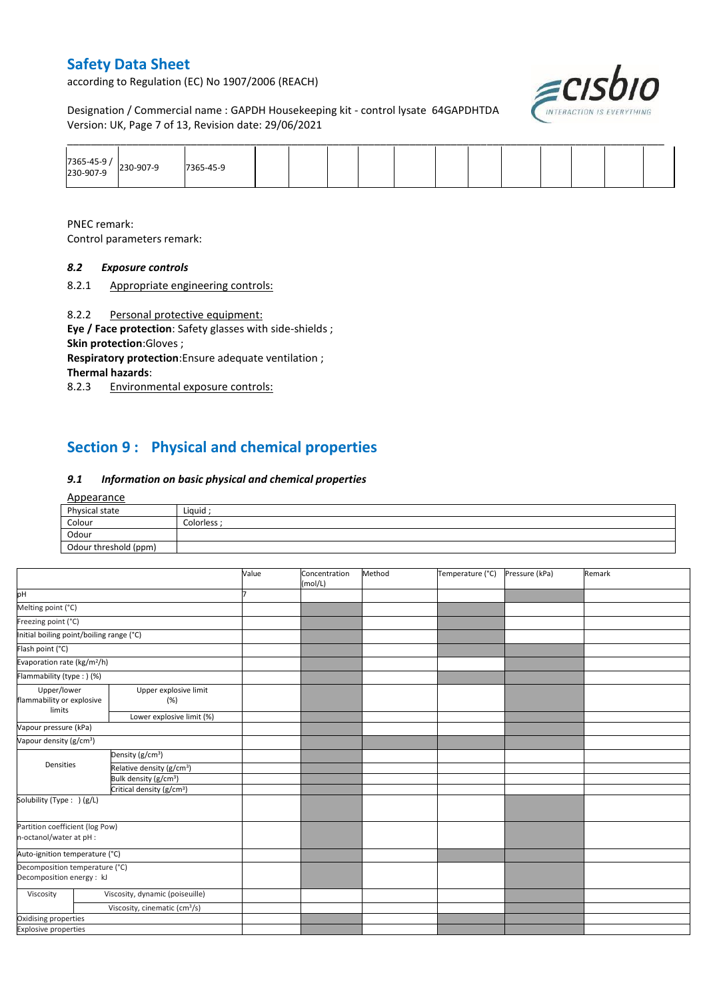according to Regulation (EC) No 1907/2006 (REACH)

≡CISl

Designation / Commercial name : GAPDH Housekeeping kit - control lysate 64GAPDHTDA Version: UK, Page 7 of 13, Revision date: 29/06/2021

| 7365-45-9<br>230-907-9 | 230-907-9 | 7365-45-9 |  |  |  |  |  |  |
|------------------------|-----------|-----------|--|--|--|--|--|--|

PNEC remark:

Control parameters remark:

### *8.2 Exposure controls*

8.2.1 Appropriate engineering controls:

8.2.2 Personal protective equipment:

**Eye / Face protection**: Safety glasses with side-shields ; **Skin protection**:Gloves ;

**Respiratory protection**:Ensure adequate ventilation ; **Thermal hazards**:

8.2.3 Environmental exposure controls:

# **Section 9 : Physical and chemical properties**

### *9.1 Information on basic physical and chemical properties*

#### Appearance

| Physical state        | Liquid    |
|-----------------------|-----------|
| Colour                | Colorless |
| Odour                 |           |
| Odour threshold (ppm) |           |

|                                                             |                                           | Value | Concentration<br>(mol/L) | Method | Temperature (°C) | Pressure (kPa) | Remark |
|-------------------------------------------------------------|-------------------------------------------|-------|--------------------------|--------|------------------|----------------|--------|
| pH                                                          |                                           |       |                          |        |                  |                |        |
| Melting point (°C)                                          |                                           |       |                          |        |                  |                |        |
| Freezing point (°C)                                         |                                           |       |                          |        |                  |                |        |
| Initial boiling point/boiling range (°C)                    |                                           |       |                          |        |                  |                |        |
| Flash point (°C)                                            |                                           |       |                          |        |                  |                |        |
| Evaporation rate (kg/m <sup>2</sup> /h)                     |                                           |       |                          |        |                  |                |        |
| Flammability (type: ) (%)                                   |                                           |       |                          |        |                  |                |        |
| Upper/lower<br>flammability or explosive<br>limits          | Upper explosive limit<br>(%)              |       |                          |        |                  |                |        |
|                                                             | Lower explosive limit (%)                 |       |                          |        |                  |                |        |
| Vapour pressure (kPa)                                       |                                           |       |                          |        |                  |                |        |
| Vapour density (g/cm <sup>3</sup> )                         |                                           |       |                          |        |                  |                |        |
|                                                             | Density (g/cm <sup>3</sup> )              |       |                          |        |                  |                |        |
| Densities                                                   | Relative density (g/cm <sup>3</sup> )     |       |                          |        |                  |                |        |
|                                                             | Bulk density (g/cm <sup>3</sup> )         |       |                          |        |                  |                |        |
|                                                             | Critical density (g/cm <sup>3</sup> )     |       |                          |        |                  |                |        |
| Solubility (Type: ) (g/L)                                   |                                           |       |                          |        |                  |                |        |
| Partition coefficient (log Pow)<br>n-octanol/water at pH :  |                                           |       |                          |        |                  |                |        |
| Auto-ignition temperature (°C)                              |                                           |       |                          |        |                  |                |        |
| Decomposition temperature (°C)<br>Decomposition energy : kJ |                                           |       |                          |        |                  |                |        |
| Viscosity                                                   | Viscosity, dynamic (poiseuille)           |       |                          |        |                  |                |        |
|                                                             | Viscosity, cinematic (cm <sup>3</sup> /s) |       |                          |        |                  |                |        |
| Oxidising properties                                        |                                           |       |                          |        |                  |                |        |
| <b>Explosive properties</b>                                 |                                           |       |                          |        |                  |                |        |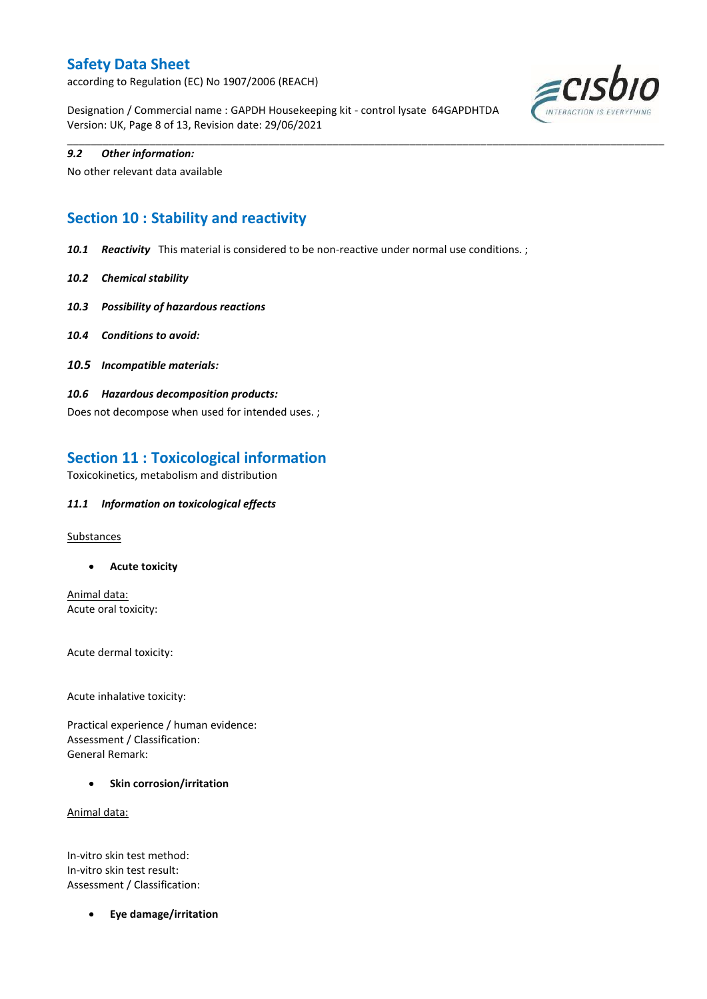according to Regulation (EC) No 1907/2006 (REACH)

Designation / Commercial name : GAPDH Housekeeping kit - control lysate 64GAPDHTDA Version: UK, Page 8 of 13, Revision date: 29/06/2021

\_\_\_\_\_\_\_\_\_\_\_\_\_\_\_\_\_\_\_\_\_\_\_\_\_\_\_\_\_\_\_\_\_\_\_\_\_\_\_\_\_\_\_\_\_\_\_\_\_\_\_\_\_\_\_\_\_\_\_\_\_\_\_\_\_\_\_\_\_\_\_\_\_\_\_\_\_\_\_\_\_\_\_\_\_\_\_\_\_\_\_\_\_\_\_\_\_\_\_\_\_



#### *9.2 Other information:*

No other relevant data available

# **Section 10 : Stability and reactivity**

- *10.1 Reactivity* This material is considered to be non-reactive under normal use conditions. ;
- *10.2 Chemical stability*
- *10.3 Possibility of hazardous reactions*
- *10.4 Conditions to avoid:*
- *10.5 Incompatible materials:*
- *10.6 Hazardous decomposition products:*

Does not decompose when used for intended uses. ;

### **Section 11 : Toxicological information**

Toxicokinetics, metabolism and distribution

#### *11.1 Information on toxicological effects*

**Substances** 

**Acute toxicity**

Animal data: Acute oral toxicity:

Acute dermal toxicity:

Acute inhalative toxicity:

Practical experience / human evidence: Assessment / Classification: General Remark:

**•** Skin corrosion/irritation

Animal data:

In-vitro skin test method: In-vitro skin test result: Assessment / Classification:

**Eye damage/irritation**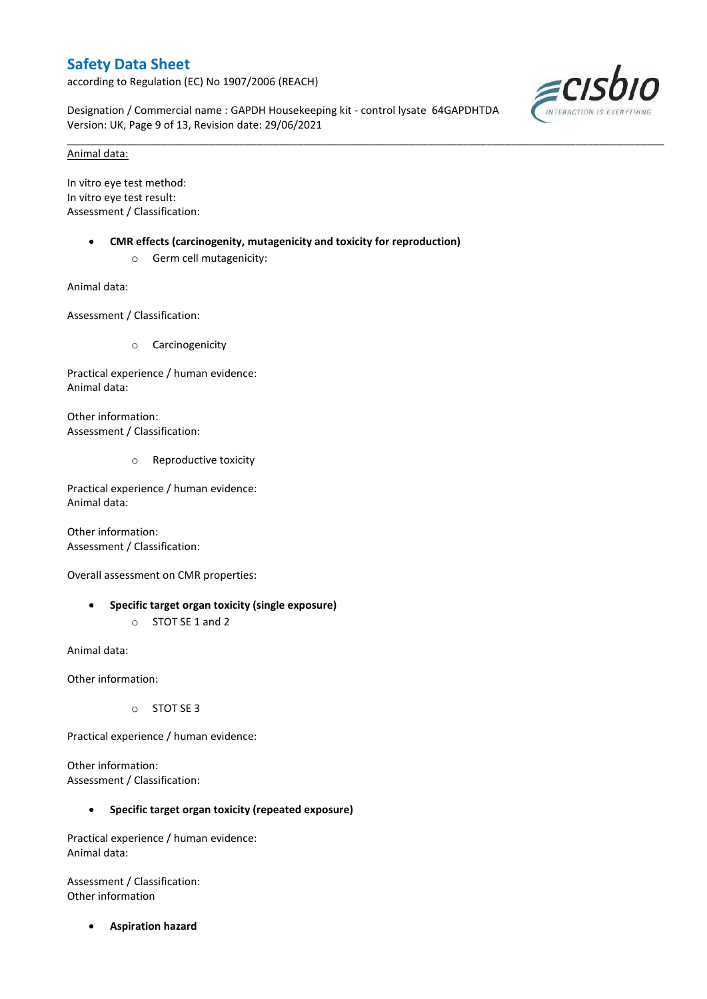according to Regulation (EC) No 1907/2006 (REACH)

Designation / Commercial name : GAPDH Housekeeping kit - control lysate 64GAPDHTDA Version: UK, Page 9 of 13, Revision date: 29/06/2021

\_\_\_\_\_\_\_\_\_\_\_\_\_\_\_\_\_\_\_\_\_\_\_\_\_\_\_\_\_\_\_\_\_\_\_\_\_\_\_\_\_\_\_\_\_\_\_\_\_\_\_\_\_\_\_\_\_\_\_\_\_\_\_\_\_\_\_\_\_\_\_\_\_\_\_\_\_\_\_\_\_\_\_\_\_\_\_\_\_\_\_\_\_\_\_\_\_\_\_\_\_



### Animal data:

In vitro eye test method: In vitro eye test result: Assessment / Classification:

- **CMR effects (carcinogenity, mutagenicity and toxicity for reproduction)**
	- o Germ cell mutagenicity:

Animal data:

Assessment / Classification:

o Carcinogenicity

Practical experience / human evidence: Animal data:

Other information: Assessment / Classification:

o Reproductive toxicity

Practical experience / human evidence: Animal data:

Other information: Assessment / Classification:

Overall assessment on CMR properties:

 **Specific target organ toxicity (single exposure)** o STOT SE 1 and 2

Animal data:

Other information:

o STOT SE 3

Practical experience / human evidence:

Other information: Assessment / Classification:

### **Specific target organ toxicity (repeated exposure)**

Practical experience / human evidence: Animal data:

Assessment / Classification: Other information

**Aspiration hazard**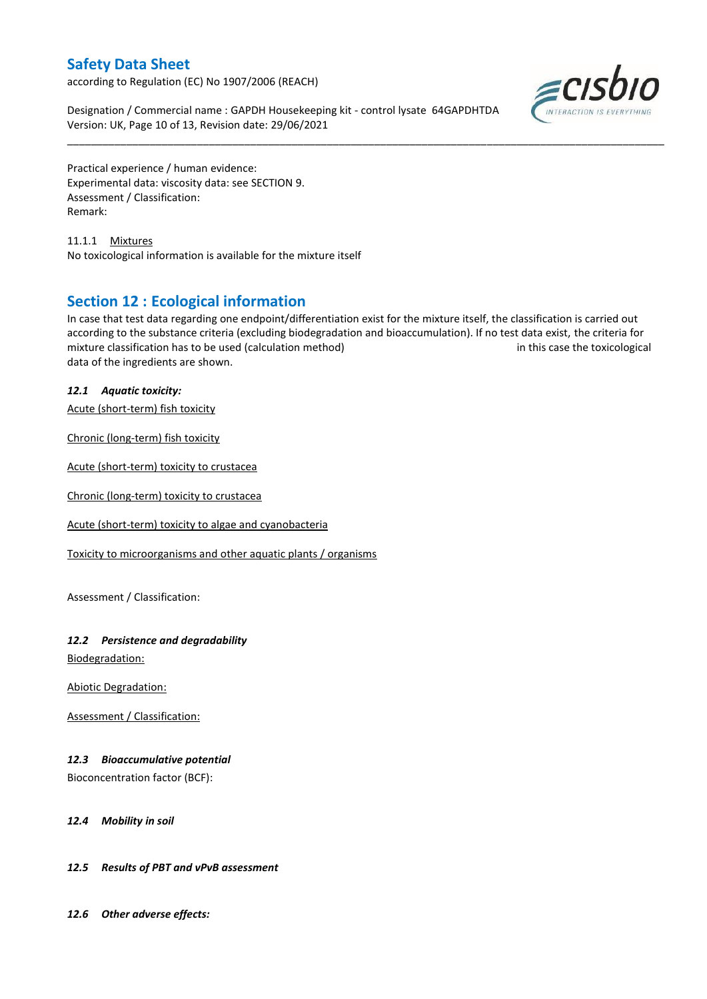according to Regulation (EC) No 1907/2006 (REACH)

Designation / Commercial name : GAPDH Housekeeping kit - control lysate 64GAPDHTDA Version: UK, Page 10 of 13, Revision date: 29/06/2021



Practical experience / human evidence: Experimental data: viscosity data: see SECTION 9. Assessment / Classification: Remark:

11.1.1 Mixtures No toxicological information is available for the mixture itself

### **Section 12 : Ecological information**

In case that test data regarding one endpoint/differentiation exist for the mixture itself, the classification is carried out according to the substance criteria (excluding biodegradation and bioaccumulation). If no test data exist, the criteria for mixture classification has to be used (calculation method) in this case the toxicological data of the ingredients are shown.

\_\_\_\_\_\_\_\_\_\_\_\_\_\_\_\_\_\_\_\_\_\_\_\_\_\_\_\_\_\_\_\_\_\_\_\_\_\_\_\_\_\_\_\_\_\_\_\_\_\_\_\_\_\_\_\_\_\_\_\_\_\_\_\_\_\_\_\_\_\_\_\_\_\_\_\_\_\_\_\_\_\_\_\_\_\_\_\_\_\_\_\_\_\_\_\_\_\_\_\_\_

### *12.1 Aquatic toxicity:*

Acute (short-term) fish toxicity

Chronic (long-term) fish toxicity

Acute (short-term) toxicity to crustacea

Chronic (long-term) toxicity to crustacea

Acute (short-term) toxicity to algae and cyanobacteria

Toxicity to microorganisms and other aquatic plants / organisms

Assessment / Classification:

### *12.2 Persistence and degradability*

Biodegradation:

Abiotic Degradation:

Assessment / Classification:

### *12.3 Bioaccumulative potential*

Bioconcentration factor (BCF):

#### *12.4 Mobility in soil*

### *12.5 Results of PBT and vPvB assessment*

*12.6 Other adverse effects:*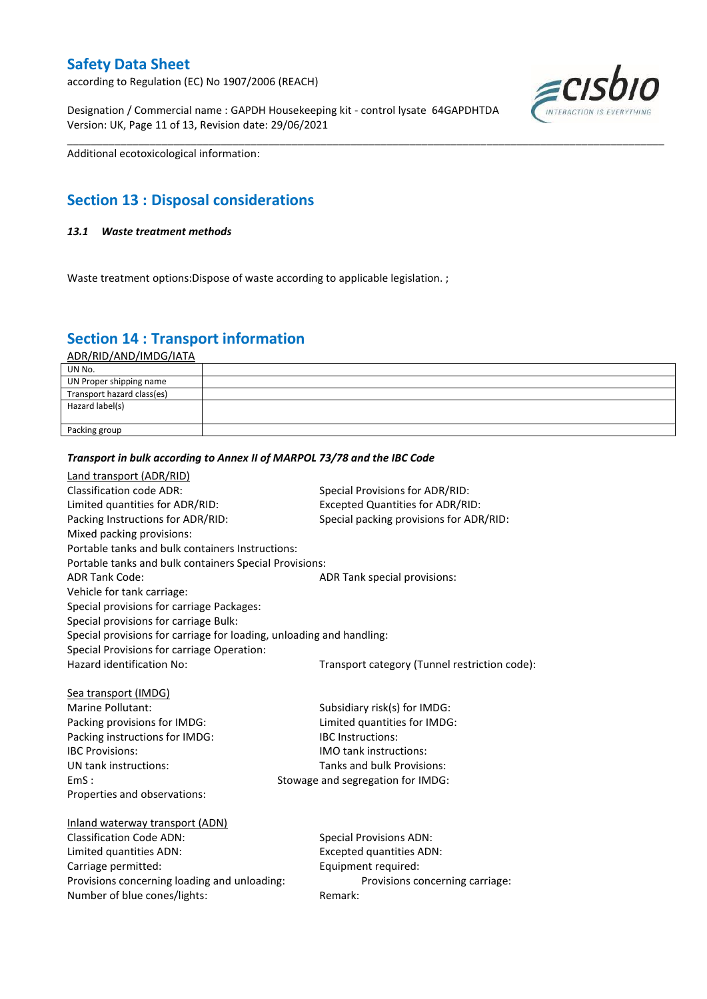according to Regulation (EC) No 1907/2006 (REACH)

Designation / Commercial name : GAPDH Housekeeping kit - control lysate 64GAPDHTDA Version: UK, Page 11 of 13, Revision date: 29/06/2021



Additional ecotoxicological information:

# **Section 13 : Disposal considerations**

### *13.1 Waste treatment methods*

Waste treatment options: Dispose of waste according to applicable legislation.;

# **Section 14 : Transport information**

ADR/RID/AND/IMDG/IATA

| UN No.                     |  |
|----------------------------|--|
| UN Proper shipping name    |  |
| Transport hazard class(es) |  |
| Hazard label(s)            |  |
|                            |  |
| Packing group              |  |

\_\_\_\_\_\_\_\_\_\_\_\_\_\_\_\_\_\_\_\_\_\_\_\_\_\_\_\_\_\_\_\_\_\_\_\_\_\_\_\_\_\_\_\_\_\_\_\_\_\_\_\_\_\_\_\_\_\_\_\_\_\_\_\_\_\_\_\_\_\_\_\_\_\_\_\_\_\_\_\_\_\_\_\_\_\_\_\_\_\_\_\_\_\_\_\_\_\_\_\_\_

#### *Transport in bulk according to Annex II of MARPOL 73/78 and the IBC Code*

| Land transport (ADR/RID)                                             |                                               |
|----------------------------------------------------------------------|-----------------------------------------------|
| <b>Classification code ADR:</b>                                      | Special Provisions for ADR/RID:               |
| Limited quantities for ADR/RID:                                      | <b>Excepted Quantities for ADR/RID:</b>       |
| Packing Instructions for ADR/RID:                                    | Special packing provisions for ADR/RID:       |
| Mixed packing provisions:                                            |                                               |
| Portable tanks and bulk containers Instructions:                     |                                               |
| Portable tanks and bulk containers Special Provisions:               |                                               |
| <b>ADR Tank Code:</b>                                                | ADR Tank special provisions:                  |
| Vehicle for tank carriage:                                           |                                               |
| Special provisions for carriage Packages:                            |                                               |
| Special provisions for carriage Bulk:                                |                                               |
| Special provisions for carriage for loading, unloading and handling: |                                               |
| Special Provisions for carriage Operation:                           |                                               |
| Hazard identification No:                                            | Transport category (Tunnel restriction code): |
|                                                                      |                                               |
| Sea transport (IMDG)                                                 |                                               |
| Marine Pollutant:                                                    | Subsidiary risk(s) for IMDG:                  |
| Packing provisions for IMDG:                                         | Limited quantities for IMDG:                  |
| Packing instructions for IMDG:                                       | <b>IBC</b> Instructions:                      |
| <b>IBC Provisions:</b>                                               | <b>IMO</b> tank instructions:                 |
| UN tank instructions:                                                | Tanks and bulk Provisions:                    |
| EmS:                                                                 | Stowage and segregation for IMDG:             |
| Properties and observations:                                         |                                               |
|                                                                      |                                               |
| Inland waterway transport (ADN)                                      |                                               |
| <b>Classification Code ADN:</b>                                      | <b>Special Provisions ADN:</b>                |
| Limited quantities ADN:                                              | <b>Excepted quantities ADN:</b>               |
| Carriage permitted:                                                  | Equipment required:                           |
| Provisions concerning loading and unloading:                         | Provisions concerning carriage:               |
| Number of blue cones/lights:                                         | Remark:                                       |
|                                                                      |                                               |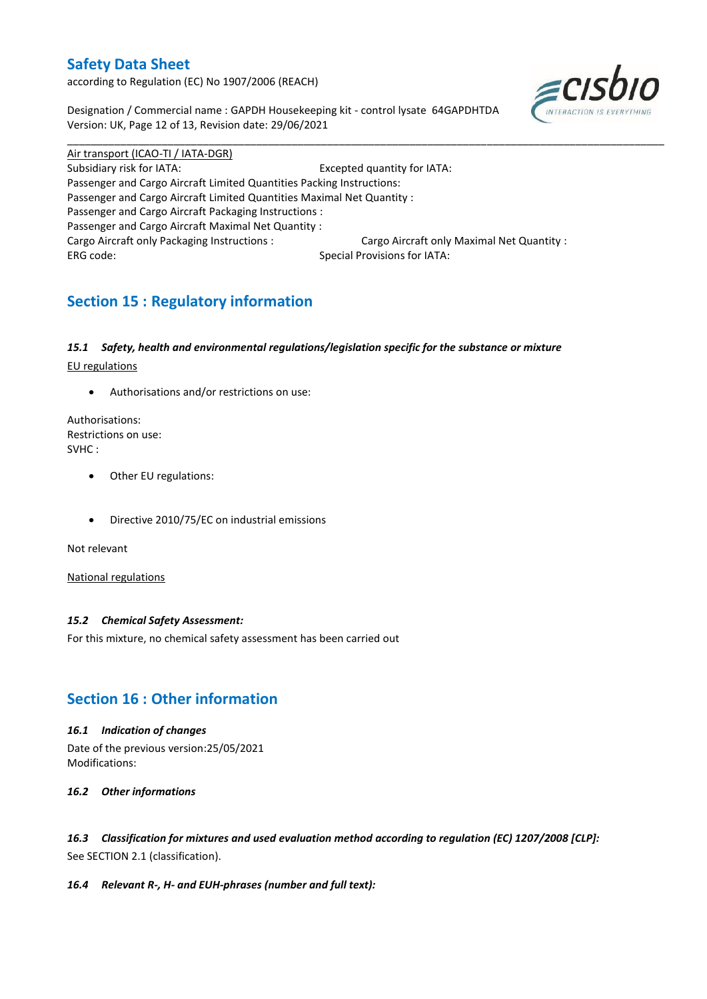according to Regulation (EC) No 1907/2006 (REACH)

Designation / Commercial name : GAPDH Housekeeping kit - control lysate 64GAPDHTDA Version: UK, Page 12 of 13, Revision date: 29/06/2021



Air transport (ICAO-TI / IATA-DGR) Subsidiary risk for IATA: Excepted quantity for IATA: Passenger and Cargo Aircraft Limited Quantities Packing Instructions: Passenger and Cargo Aircraft Limited Quantities Maximal Net Quantity : Passenger and Cargo Aircraft Packaging Instructions : Passenger and Cargo Aircraft Maximal Net Quantity : Cargo Aircraft only Packaging Instructions : Cargo Aircraft only Maximal Net Quantity : ERG code: Special Provisions for IATA:

\_\_\_\_\_\_\_\_\_\_\_\_\_\_\_\_\_\_\_\_\_\_\_\_\_\_\_\_\_\_\_\_\_\_\_\_\_\_\_\_\_\_\_\_\_\_\_\_\_\_\_\_\_\_\_\_\_\_\_\_\_\_\_\_\_\_\_\_\_\_\_\_\_\_\_\_\_\_\_\_\_\_\_\_\_\_\_\_\_\_\_\_\_\_\_\_\_\_\_\_\_

# **Section 15 : Regulatory information**

### *15.1 Safety, health and environmental regulations/legislation specific for the substance or mixture*

EU regulations

Authorisations and/or restrictions on use:

Authorisations: Restrictions on use: SVHC :

- Other EU regulations:
- Directive 2010/75/EC on industrial emissions

Not relevant

National regulations

### *15.2 Chemical Safety Assessment:*

For this mixture, no chemical safety assessment has been carried out

# **Section 16 : Other information**

#### *16.1 Indication of changes*

Date of the previous version:25/05/2021 Modifications:

*16.2 Other informations*

*16.3 Classification for mixtures and used evaluation method according to regulation (EC) 1207/2008 [CLP]:* See SECTION 2.1 (classification).

#### *16.4 Relevant R-, H- and EUH-phrases (number and full text):*